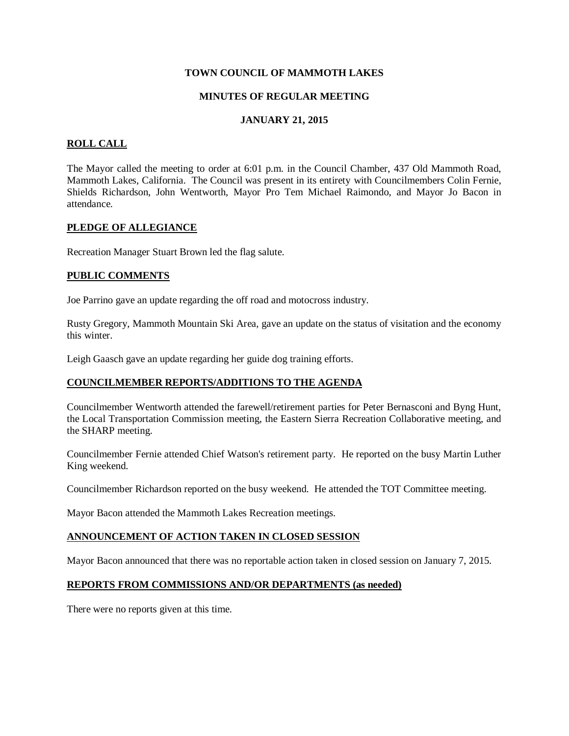### **TOWN COUNCIL OF MAMMOTH LAKES**

### **MINUTES OF REGULAR MEETING**

# **JANUARY 21, 2015**

# **ROLL CALL**

The Mayor called the meeting to order at 6:01 p.m. in the Council Chamber, 437 Old Mammoth Road, Mammoth Lakes, California. The Council was present in its entirety with Councilmembers Colin Fernie, Shields Richardson, John Wentworth, Mayor Pro Tem Michael Raimondo, and Mayor Jo Bacon in attendance.

# **[PLEDGE OF ALLEGIANCE](http://mammothlakes.granicus.com/wordlinkreceiver.php?clip_id=afa9759c-470e-4455-be81-ee8bf19f149e&meta_id=139dd294-25fd-4ca9-a6b0-85507b03fadd&time=117)**

Recreation Manager Stuart Brown led the flag salute.

# **[PUBLIC COMMENTS](http://mammothlakes.granicus.com/wordlinkreceiver.php?clip_id=afa9759c-470e-4455-be81-ee8bf19f149e&meta_id=cdccc3ea-5280-4574-ae1e-debac9ea5fe1&time=159)**

Joe Parrino gave an update regarding the off road and motocross industry.

Rusty Gregory, Mammoth Mountain Ski Area, gave an update on the status of visitation and the economy this winter.

Leigh Gaasch gave an update regarding her guide dog training efforts.

# **[COUNCILMEMBER REPORTS/ADDITIONS TO THE AGENDA](http://mammothlakes.granicus.com/wordlinkreceiver.php?clip_id=afa9759c-470e-4455-be81-ee8bf19f149e&meta_id=b0632508-ad99-4fba-bb67-58cb9b38d799&time=772)**

Councilmember Wentworth attended the farewell/retirement parties for Peter Bernasconi and Byng Hunt, the Local Transportation Commission meeting, the Eastern Sierra Recreation Collaborative meeting, and the SHARP meeting.

Councilmember Fernie attended Chief Watson's retirement party. He reported on the busy Martin Luther King weekend.

Councilmember Richardson reported on the busy weekend. He attended the TOT Committee meeting.

Mayor Bacon attended the Mammoth Lakes Recreation meetings.

# **[ANNOUNCEMENT OF ACTION TAKEN IN CLOSED SESSION](http://mammothlakes.granicus.com/wordlinkreceiver.php?clip_id=afa9759c-470e-4455-be81-ee8bf19f149e&meta_id=2c240400-f579-4352-84db-9dfe4e57b712&time=1087)**

Mayor Bacon announced that there was no reportable action taken in closed session on January 7, 2015.

### **[REPORTS FROM COMMISSIONS AND/OR DEPARTMENTS \(as needed\)](http://mammothlakes.granicus.com/wordlinkreceiver.php?clip_id=afa9759c-470e-4455-be81-ee8bf19f149e&meta_id=5027a78f-e2fa-44dd-8bbd-6e030ae91222&time=1116)**

There were no reports given at this time.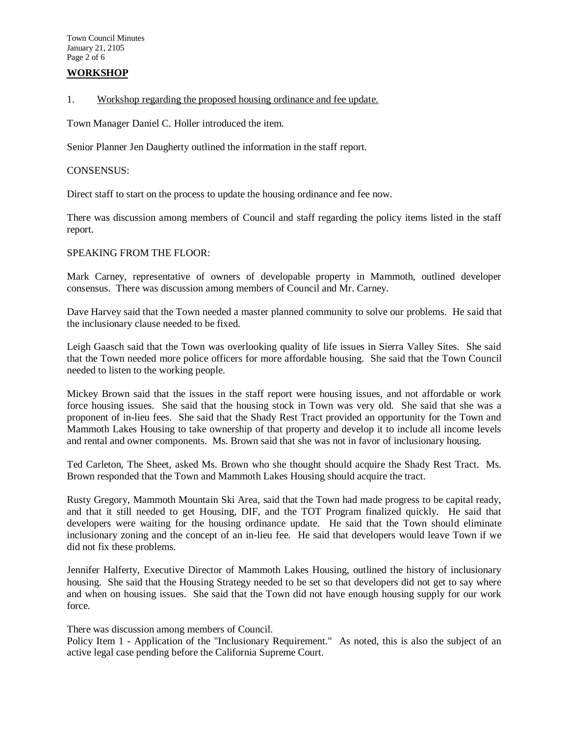# **WORKSHOP**

#### [1. Workshop regarding the proposed housing ordinance and fee update.](http://mammothlakes.granicus.com/wordlinkreceiver.php?clip_id=afa9759c-470e-4455-be81-ee8bf19f149e&meta_id=b80c3944-954e-466a-9467-c76e8c3303ca&time=1130)

Town Manager Daniel C. Holler introduced the item.

Senior Planner Jen Daugherty outlined the information in the staff report.

#### CONSENSUS:

Direct staff to start on the process to update the housing ordinance and fee now.

There was discussion among members of Council and staff regarding the policy items listed in the staff report.

### SPEAKING FROM THE FLOOR:

Mark Carney, representative of owners of developable property in Mammoth, outlined developer consensus. There was discussion among members of Council and Mr. Carney.

Dave Harvey said that the Town needed a master planned community to solve our problems. He said that the inclusionary clause needed to be fixed.

Leigh Gaasch said that the Town was overlooking quality of life issues in Sierra Valley Sites. She said that the Town needed more police officers for more affordable housing. She said that the Town Council needed to listen to the working people.

Mickey Brown said that the issues in the staff report were housing issues, and not affordable or work force housing issues. She said that the housing stock in Town was very old. She said that she was a proponent of in-lieu fees. She said that the Shady Rest Tract provided an opportunity for the Town and Mammoth Lakes Housing to take ownership of that property and develop it to include all income levels and rental and owner components. Ms. Brown said that she was not in favor of inclusionary housing.

Ted Carleton, The Sheet, asked Ms. Brown who she thought should acquire the Shady Rest Tract. Ms. Brown responded that the Town and Mammoth Lakes Housing should acquire the tract.

Rusty Gregory, Mammoth Mountain Ski Area, said that the Town had made progress to be capital ready, and that it still needed to get Housing, DIF, and the TOT Program finalized quickly. He said that developers were waiting for the housing ordinance update. He said that the Town should eliminate inclusionary zoning and the concept of an in-lieu fee. He said that developers would leave Town if we did not fix these problems.

Jennifer Halferty, Executive Director of Mammoth Lakes Housing, outlined the history of inclusionary housing. She said that the Housing Strategy needed to be set so that developers did not get to say where and when on housing issues. She said that the Town did not have enough housing supply for our work force.

There was discussion among members of Council.

Policy Item 1 - Application of the "Inclusionary Requirement." As noted, this is also the subject of an active legal case pending before the California Supreme Court.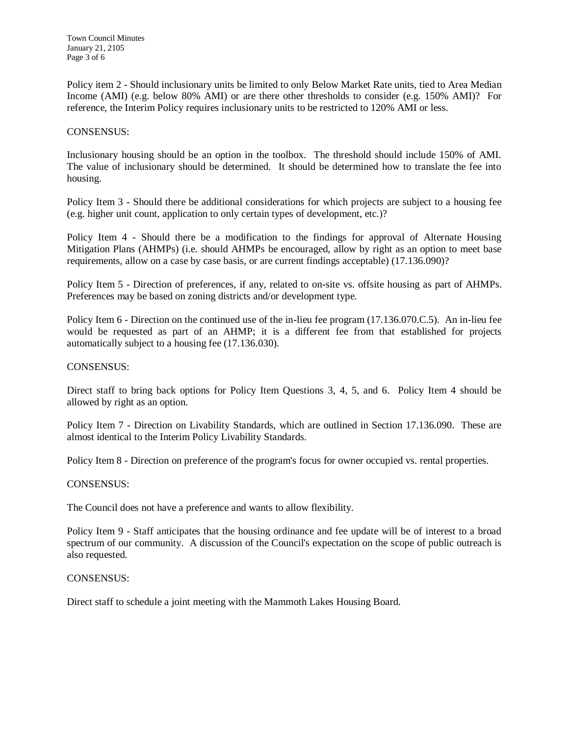Policy item 2 - Should inclusionary units be limited to only Below Market Rate units, tied to Area Median Income (AMI) (e.g. below 80% AMI) or are there other thresholds to consider (e.g. 150% AMI)? For reference, the Interim Policy requires inclusionary units to be restricted to 120% AMI or less.

#### CONSENSUS:

Inclusionary housing should be an option in the toolbox. The threshold should include 150% of AMI. The value of inclusionary should be determined. It should be determined how to translate the fee into housing.

Policy Item 3 - Should there be additional considerations for which projects are subject to a housing fee (e.g. higher unit count, application to only certain types of development, etc.)?

Policy Item 4 - Should there be a modification to the findings for approval of Alternate Housing Mitigation Plans (AHMPs) (i.e. should AHMPs be encouraged, allow by right as an option to meet base requirements, allow on a case by case basis, or are current findings acceptable) (17.136.090)?

Policy Item 5 - Direction of preferences, if any, related to on-site vs. offsite housing as part of AHMPs. Preferences may be based on zoning districts and/or development type.

Policy Item 6 - Direction on the continued use of the in-lieu fee program (17.136.070.C.5). An in-lieu fee would be requested as part of an AHMP; it is a different fee from that established for projects automatically subject to a housing fee (17.136.030).

#### CONSENSUS:

Direct staff to bring back options for Policy Item Questions 3, 4, 5, and 6. Policy Item 4 should be allowed by right as an option.

Policy Item 7 - Direction on Livability Standards, which are outlined in Section 17.136.090. These are almost identical to the Interim Policy Livability Standards.

Policy Item 8 - Direction on preference of the program's focus for owner occupied vs. rental properties.

#### CONSENSUS:

The Council does not have a preference and wants to allow flexibility.

Policy Item 9 - Staff anticipates that the housing ordinance and fee update will be of interest to a broad spectrum of our community. A discussion of the Council's expectation on the scope of public outreach is also requested.

#### CONSENSUS:

Direct staff to schedule a joint meeting with the Mammoth Lakes Housing Board.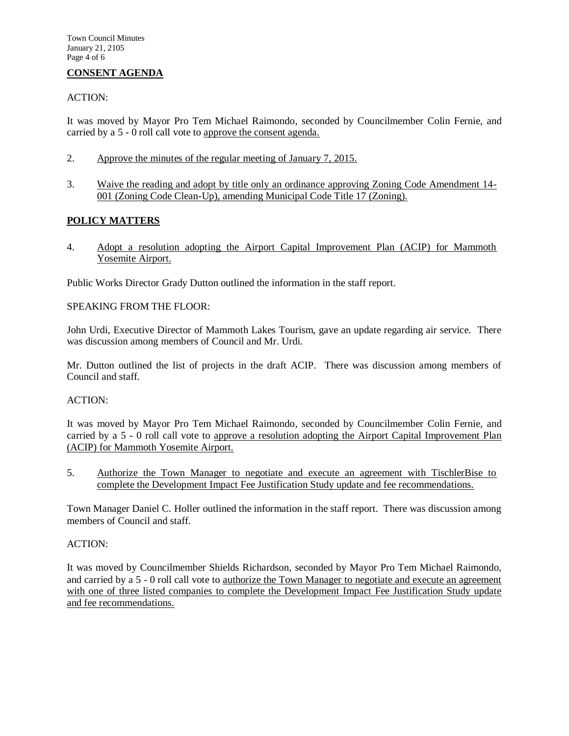# **[CONSENT AGENDA](http://mammothlakes.granicus.com/wordlinkreceiver.php?clip_id=afa9759c-470e-4455-be81-ee8bf19f149e&meta_id=f925d100-f6a8-4af8-bd99-c1fbd424470d&time=5924)**

# ACTION:

It was moved by Mayor Pro Tem Michael Raimondo, seconded by Councilmember Colin Fernie, and carried by a 5 - 0 roll call vote to approve the consent agenda.

- 2. Approve the minutes of the regular meeting of January 7, 2015.
- 3. Waive the reading and adopt by title only an ordinance approving Zoning Code Amendment 14- 001 (Zoning Code Clean-Up), amending Municipal Code Title 17 (Zoning).

# **POLICY MATTERS**

[4. Adopt a resolution adopting the Airport Capital Improvement Plan \(ACIP\) for Mammoth](http://mammothlakes.granicus.com/wordlinkreceiver.php?clip_id=afa9759c-470e-4455-be81-ee8bf19f149e&meta_id=37266157-800d-4391-b7d4-f4897e8f9b44&time=5968)  [Yosemite Airport.](http://mammothlakes.granicus.com/wordlinkreceiver.php?clip_id=afa9759c-470e-4455-be81-ee8bf19f149e&meta_id=37266157-800d-4391-b7d4-f4897e8f9b44&time=5968)

Public Works Director Grady Dutton outlined the information in the staff report.

# SPEAKING FROM THE FLOOR:

John Urdi, Executive Director of Mammoth Lakes Tourism, gave an update regarding air service. There was discussion among members of Council and Mr. Urdi.

Mr. Dutton outlined the list of projects in the draft ACIP. There was discussion among members of Council and staff.

# ACTION:

It was moved by Mayor Pro Tem Michael Raimondo, seconded by Councilmember Colin Fernie, and carried by a 5 - 0 roll call vote to approve a resolution adopting the Airport Capital Improvement Plan (ACIP) for Mammoth Yosemite Airport.

[5.](http://mammothlakes.granicus.com/wordlinkreceiver.php?clip_id=afa9759c-470e-4455-be81-ee8bf19f149e&meta_id=d8e3fa19-217f-4416-94be-5a60f91ce879&time=8385) [Authorize the Town Manager to negotiate and execute an agreement with TischlerBise to](http://mammothlakes.granicus.com/wordlinkreceiver.php?clip_id=afa9759c-470e-4455-be81-ee8bf19f149e&meta_id=d8e3fa19-217f-4416-94be-5a60f91ce879&time=8385)  [complete the Development Impact Fee Justification Study update and fee recommendations.](http://mammothlakes.granicus.com/wordlinkreceiver.php?clip_id=afa9759c-470e-4455-be81-ee8bf19f149e&meta_id=d8e3fa19-217f-4416-94be-5a60f91ce879&time=8385)

Town Manager Daniel C. Holler outlined the information in the staff report. There was discussion among members of Council and staff.

# ACTION:

It was moved by Councilmember Shields Richardson, seconded by Mayor Pro Tem Michael Raimondo, and carried by a 5 - 0 roll call vote to authorize the Town Manager to negotiate and execute an agreement with one of three listed companies to complete the Development Impact Fee Justification Study update and fee recommendations.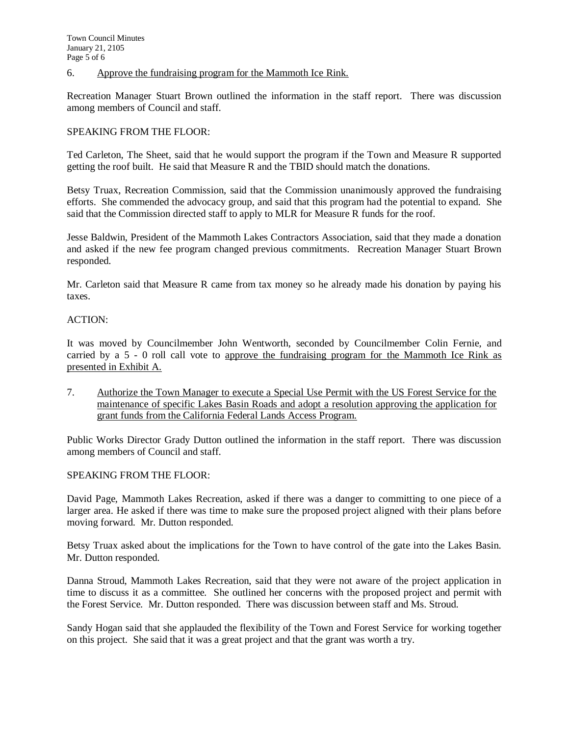[6.](http://mammothlakes.granicus.com/wordlinkreceiver.php?clip_id=afa9759c-470e-4455-be81-ee8bf19f149e&meta_id=12dbac7a-27a0-47c3-817f-94fc9e4bbeda&time=9069) [Approve the fundraising program for the Mammoth Ice Rink.](http://mammothlakes.granicus.com/wordlinkreceiver.php?clip_id=afa9759c-470e-4455-be81-ee8bf19f149e&meta_id=12dbac7a-27a0-47c3-817f-94fc9e4bbeda&time=9069)

Recreation Manager Stuart Brown outlined the information in the staff report. There was discussion among members of Council and staff.

### SPEAKING FROM THE FLOOR:

Ted Carleton, The Sheet, said that he would support the program if the Town and Measure R supported getting the roof built. He said that Measure R and the TBID should match the donations.

Betsy Truax, Recreation Commission, said that the Commission unanimously approved the fundraising efforts. She commended the advocacy group, and said that this program had the potential to expand. She said that the Commission directed staff to apply to MLR for Measure R funds for the roof.

Jesse Baldwin, President of the Mammoth Lakes Contractors Association, said that they made a donation and asked if the new fee program changed previous commitments. Recreation Manager Stuart Brown responded.

Mr. Carleton said that Measure R came from tax money so he already made his donation by paying his taxes.

### ACTION:

It was moved by Councilmember John Wentworth, seconded by Councilmember Colin Fernie, and carried by a 5 - 0 roll call vote to approve the fundraising program for the Mammoth Ice Rink as presented in Exhibit A.

[7.](http://mammothlakes.granicus.com/wordlinkreceiver.php?clip_id=afa9759c-470e-4455-be81-ee8bf19f149e&meta_id=1f302105-5e35-4037-aa96-1c6fa213add6&time=10385) [Authorize the Town Manager to execute a Special Use Permit with the US Forest Service for the](http://mammothlakes.granicus.com/wordlinkreceiver.php?clip_id=afa9759c-470e-4455-be81-ee8bf19f149e&meta_id=1f302105-5e35-4037-aa96-1c6fa213add6&time=10385)  [maintenance of specific Lakes Basin Roads and adopt a resolution approving the application](http://mammothlakes.granicus.com/wordlinkreceiver.php?clip_id=afa9759c-470e-4455-be81-ee8bf19f149e&meta_id=1f302105-5e35-4037-aa96-1c6fa213add6&time=10385) for [grant funds from the California Federal Lands Access Program.](http://mammothlakes.granicus.com/wordlinkreceiver.php?clip_id=afa9759c-470e-4455-be81-ee8bf19f149e&meta_id=1f302105-5e35-4037-aa96-1c6fa213add6&time=10385)

Public Works Director Grady Dutton outlined the information in the staff report. There was discussion among members of Council and staff.

#### SPEAKING FROM THE FLOOR:

David Page, Mammoth Lakes Recreation, asked if there was a danger to committing to one piece of a larger area. He asked if there was time to make sure the proposed project aligned with their plans before moving forward. Mr. Dutton responded.

Betsy Truax asked about the implications for the Town to have control of the gate into the Lakes Basin. Mr. Dutton responded.

Danna Stroud, Mammoth Lakes Recreation, said that they were not aware of the project application in time to discuss it as a committee. She outlined her concerns with the proposed project and permit with the Forest Service. Mr. Dutton responded. There was discussion between staff and Ms. Stroud.

Sandy Hogan said that she applauded the flexibility of the Town and Forest Service for working together on this project. She said that it was a great project and that the grant was worth a try.